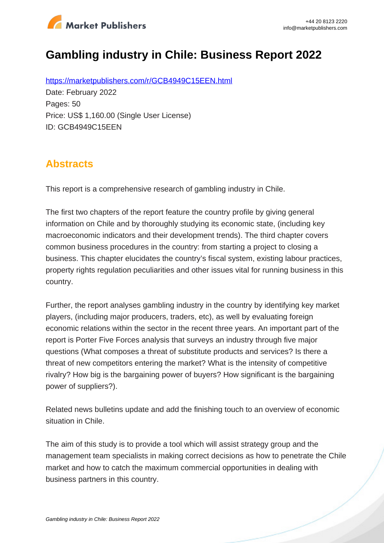

# **Gambling industry in Chile: Business Report 2022**

https://marketpublishers.com/r/GCB4949C15EEN.html Date: February 2022 Pages: 50 Price: US\$ 1,160.00 (Single User License) ID: GCB4949C15EEN

# **Abstracts**

This report is a comprehensive research of gambling industry in Chile.

The first two chapters of the report feature the country profile by giving general information on Chile and by thoroughly studying its economic state, (including key macroeconomic indicators and their development trends). The third chapter covers common business procedures in the country: from starting a project to closing a business. This chapter elucidates the country's fiscal system, existing labour practices, property rights regulation peculiarities and other issues vital for running business in this country.

Further, the report analyses gambling industry in the country by identifying key market players, (including major producers, traders, etc), as well by evaluating foreign economic relations within the sector in the recent three years. An important part of the report is Porter Five Forces analysis that surveys an industry through five major questions (What composes a threat of substitute products and services? Is there a threat of new competitors entering the market? What is the intensity of competitive rivalry? How big is the bargaining power of buyers? How significant is the bargaining power of suppliers?).

Related news bulletins update and add the finishing touch to an overview of economic situation in Chile.

The aim of this study is to provide a tool which will assist strategy group and the management team specialists in making correct decisions as how to penetrate the Chile market and how to catch the maximum commercial opportunities in dealing with business partners in this country.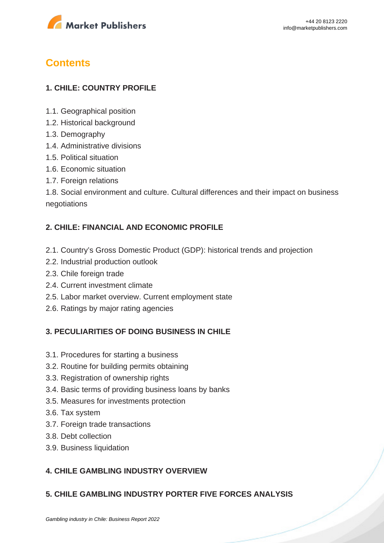

# **Contents**

## **1. CHILE: COUNTRY PROFILE**

- 1.1. Geographical position
- 1.2. Historical background
- 1.3. Demography
- 1.4. Administrative divisions
- 1.5. Political situation
- 1.6. Economic situation
- 1.7. Foreign relations

1.8. Social environment and culture. Cultural differences and their impact on business negotiations

### **2. CHILE: FINANCIAL AND ECONOMIC PROFILE**

- 2.1. Country's Gross Domestic Product (GDP): historical trends and projection
- 2.2. Industrial production outlook
- 2.3. Chile foreign trade
- 2.4. Current investment climate
- 2.5. Labor market overview. Current employment state
- 2.6. Ratings by major rating agencies

#### **3. PECULIARITIES OF DOING BUSINESS IN CHILE**

- 3.1. Procedures for starting a business
- 3.2. Routine for building permits obtaining
- 3.3. Registration of ownership rights
- 3.4. Basic terms of providing business loans by banks
- 3.5. Measures for investments protection
- 3.6. Tax system
- 3.7. Foreign trade transactions
- 3.8. Debt collection
- 3.9. Business liquidation

### **4. CHILE GAMBLING INDUSTRY OVERVIEW**

#### **5. CHILE GAMBLING INDUSTRY PORTER FIVE FORCES ANALYSIS**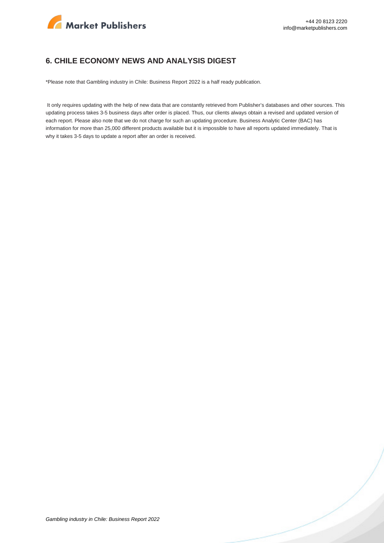

#### **6. CHILE ECONOMY NEWS AND ANALYSIS DIGEST**

\*Please note that Gambling industry in Chile: Business Report 2022 is a half ready publication.

 It only requires updating with the help of new data that are constantly retrieved from Publisher's databases and other sources. This updating process takes 3-5 business days after order is placed. Thus, our clients always obtain a revised and updated version of each report. Please also note that we do not charge for such an updating procedure. Business Analytic Center (BAC) has information for more than 25,000 different products available but it is impossible to have all reports updated immediately. That is why it takes 3-5 days to update a report after an order is received.